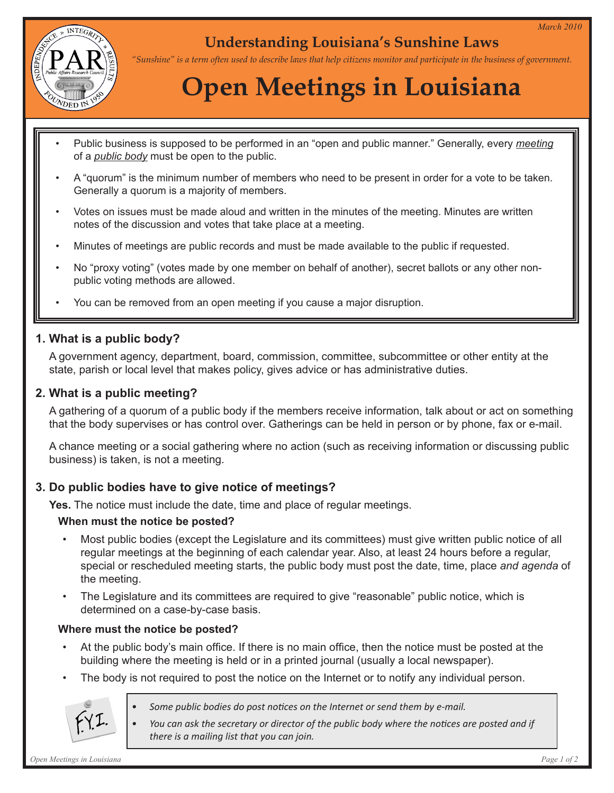

## **Understanding Louisiana's Sunshine Laws**

*"Sunshine" is a term often used to describe laws that help citizens monitor and participate in the business of government.*

# **Open Meetings in Louisiana**

- Public business is supposed to be performed in an "open and public manner." Generally, every *meeting* of a *public body* must be open to the public.
- A "quorum" is the minimum number of members who need to be present in order for a vote to be taken. Generally a quorum is a majority of members.
- Votes on issues must be made aloud and written in the minutes of the meeting. Minutes are written notes of the discussion and votes that take place at a meeting.
- Minutes of meetings are public records and must be made available to the public if requested.
- No "proxy voting" (votes made by one member on behalf of another), secret ballots or any other nonpublic voting methods are allowed.
- You can be removed from an open meeting if you cause a major disruption.

#### **1. What is a public body?**

A government agency, department, board, commission, committee, subcommittee or other entity at the state, parish or local level that makes policy, gives advice or has administrative duties.

#### **2. What is a public meeting?**

A gathering of a quorum of a public body if the members receive information, talk about or act on something that the body supervises or has control over. Gatherings can be held in person or by phone, fax or e-mail.

A chance meeting or a social gathering where no action (such as receiving information or discussing public business) is taken, is not a meeting.

#### **3. Do public bodies have to give notice of meetings?**

**Yes.** The notice must include the date, time and place of regular meetings.

#### **When must the notice be posted?**

- Most public bodies (except the Legislature and its committees) must give written public notice of all regular meetings at the beginning of each calendar year. Also, at least 24 hours before a regular, special or rescheduled meeting starts, the public body must post the date, time, place *and agenda* of the meeting.
- The Legislature and its committees are required to give "reasonable" public notice, which is determined on a case-by-case basis.

#### **Where must the notice be posted?**

- At the public body's main office. If there is no main office, then the notice must be posted at the building where the meeting is held or in a printed journal (usually a local newspaper).
- The body is not required to post the notice on the Internet or to notify any individual person.



- *• Some public bodies do post notices on the Internet or send them by e-mail.*
- *• You can ask the secretary or director of the public body where the notices are posted and if there is a mailing list that you can join.*